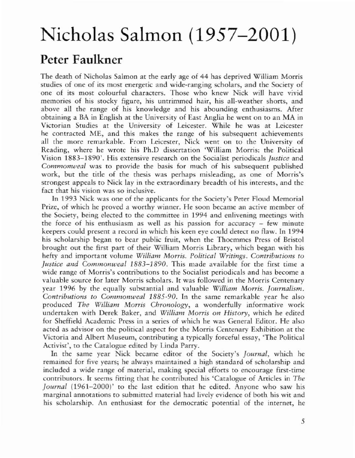## Nicholas Salmon (1957-2001)

## Peter Faulkner

The death of Nicholas Salmon at the early age of 44 has deprived William Morris studies of one of its most energetic and wide-ranging scholars, and the Society of one of its most colourful characters. Those who knew Nick will have vivid memories of his stocky figure, his untrimmed hair, his all-weather shorts, and above all the range of his knowledge and his abounding enrhusiasms. After obtaining a BA in English at the University of East Anglia he went on to an MA in Victorian Studies at the University of Leicester. While he was at Leicester he contracted ME, and this makes the range of his subsequent achievements all the more remarkable. From Leicester, Nick went on to the University of Reading, where he wrote his Ph.D dissertation 'William Morris: the Political Vision 1883-1890'. His extensive research on the Socialist periodicals *Justice* and *Commonweal* was to provide the basis for much of his subsequent published work, but the title of the thesis was perhaps misleading, as onc of Morris's strongest appeals to Nick lay in the extraordinary breadth of his interests, and the fact that his vision was so inclusive.

In 1993 Nick was one of the applicants for the Society's Peter Floud Memorial Prize, of which he proved a worthy winner. He soon became an active member of the Society, being elected to the committee in 1994 and enlivening meetings with the force of his enthusiasm as well as his passion for accuracy - few minute keepers could present a record in which his keen eye could detect no flaw. In 1994 his scholarship began to bear public fruit, when the Thoemmes Press of Bristol brought out the first parr of their William Morris Library, which began with his hefty and important volume *\Villiam Morris. Political \Vritings. Contributions to Justice and Commonwcal 1883-1890.* This made available for the first time a wide range of Morris's contributions to the Socialist periodicals and has become a valuable source for later Morris scholars. It was followed in the Morris Centenary year 1996 by the equally substantial and valuable *William Morris. Journalism. Contributions to Commonweal 1885-90.* In the same remarkable year he also produced *The William Morris Chronology,* a wonderfully informative work undertaken with Derek Baker, and *\Villiam Morris on History,* which he edited for Sheffield Academic Press in a series of which he was General Editor. He also acted as advisor on the political aspect for the Morris Centenary Exhibition at the Victoria and Albert Museum, contributing a rypically forceful essay, 'The Political Activist', to the Catalogue edited by Linda Parry.

In the same year Nick became editor of the Sociery's *Journal,* which he remained for five years; he always maintained a high standard of scholarship and included a wide range of material, making special efforts to encourage first-time contributors. It seems fitting that he contributed his 'Catalogue of Anicles in *The Journal* (1961-2000)' to the last edition that he edited. Anyone who saw his marginal annotations to submitted material had lively evidence of both his wit and his scholarship. An enthusiast for the democratic potential of the internet, he